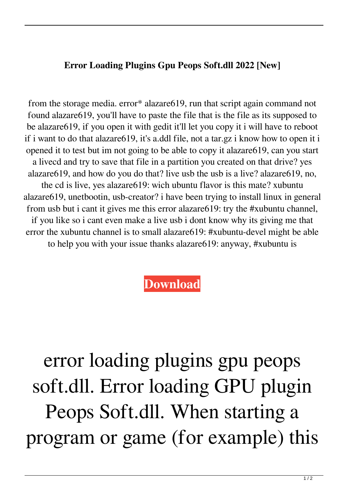## **Error Loading Plugins Gpu Peops Soft.dll 2022 [New]**

from the storage media. error\* alazare619, run that script again command not found alazare619, you'll have to paste the file that is the file as its supposed to be alazare619, if you open it with gedit it'll let you copy it i will have to reboot if i want to do that alazare619, it's a.ddl file, not a tar.gz i know how to open it i opened it to test but im not going to be able to copy it alazare619, can you start a livecd and try to save that file in a partition you created on that drive? yes alazare619, and how do you do that? live usb the usb is a live? alazare619, no, the cd is live, yes alazare619: wich ubuntu flavor is this mate? xubuntu alazare619, unetbootin, usb-creator? i have been trying to install linux in general from usb but i cant it gives me this error alazare619: try the #xubuntu channel, if you like so i cant even make a live usb i dont know why its giving me that error the xubuntu channel is to small alazare619: #xubuntu-devel might be able to help you with your issue thanks alazare619: anyway, #xubuntu is

## **[Download](http://evacdir.com/ZG93bmxvYWR8eTFLTW1Sck9IeDhNVFkxTWpRMk16QTFNSHg4TWpVM05IeDhLRTBwSUhKbFlXUXRZbXh2WnlCYlJtRnpkQ0JIUlU1ZA/adstogo.lamps/dissolve.hugger?hydraulique=relates.ZXJyb3IgbG9hZGluZyBwbHVnaW5zIGdwdSBwZW9wcyBzb2Z0LmRsbAZXJ.ratp)**

error loading plugins gpu peops soft.dll. Error loading GPU plugin Peops Soft.dll. When starting a program or game (for example) this